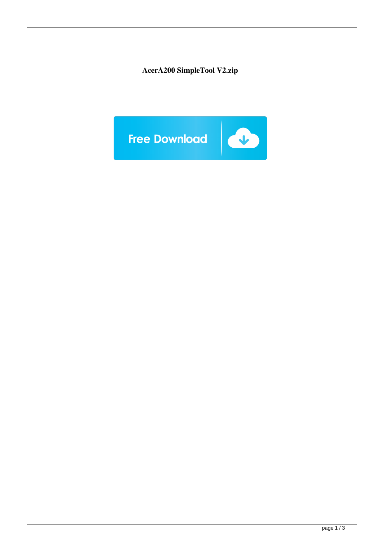**AcerA200 SimpleTool V2.zip**

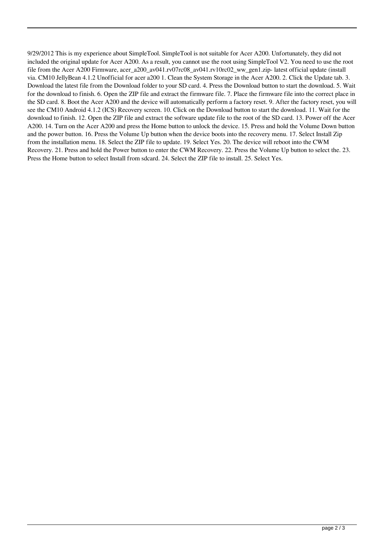9/29/2012 This is my experience about SimpleTool. SimpleTool is not suitable for Acer A200. Unfortunately, they did not included the original update for Acer A200. As a result, you cannot use the root using SimpleTool V2. You need to use the root file from the Acer A200 Firmware, acer\_a200\_av041.rv07rc08\_av041.rv10rc02\_ww\_gen1.zip-latest official update (install via. CM10 JellyBean 4.1.2 Unofficial for acer a200 1. Clean the System Storage in the Acer A200. 2. Click the Update tab. 3. Download the latest file from the Download folder to your SD card. 4. Press the Download button to start the download. 5. Wait for the download to finish. 6. Open the ZIP file and extract the firmware file. 7. Place the firmware file into the correct place in the SD card. 8. Boot the Acer A200 and the device will automatically perform a factory reset. 9. After the factory reset, you will see the CM10 Android 4.1.2 (ICS) Recovery screen. 10. Click on the Download button to start the download. 11. Wait for the download to finish. 12. Open the ZIP file and extract the software update file to the root of the SD card. 13. Power off the Acer A200. 14. Turn on the Acer A200 and press the Home button to unlock the device. 15. Press and hold the Volume Down button and the power button. 16. Press the Volume Up button when the device boots into the recovery menu. 17. Select Install Zip from the installation menu. 18. Select the ZIP file to update. 19. Select Yes. 20. The device will reboot into the CWM Recovery. 21. Press and hold the Power button to enter the CWM Recovery. 22. Press the Volume Up button to select the. 23. Press the Home button to select Install from sdcard. 24. Select the ZIP file to install. 25. Select Yes.